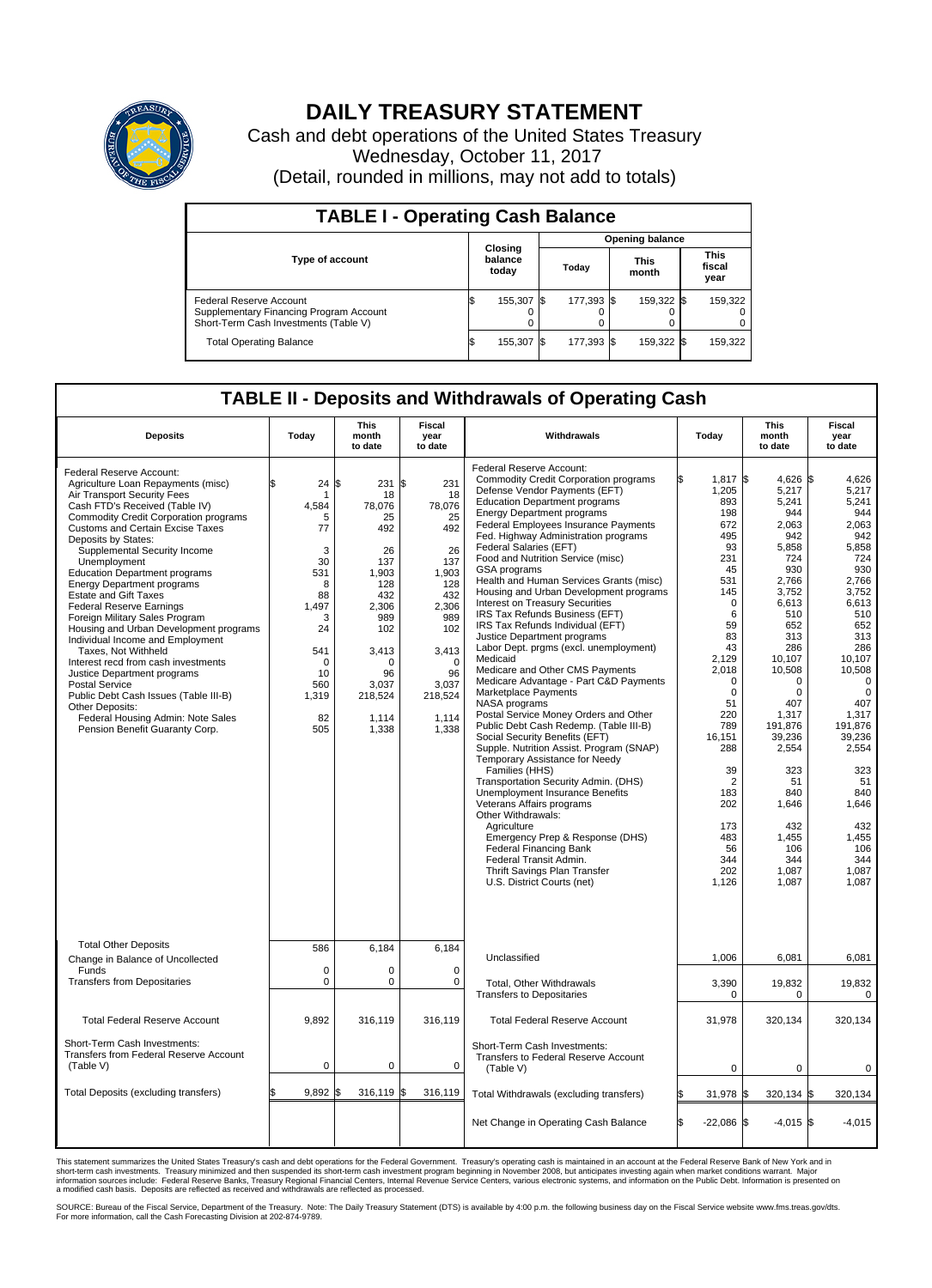

## **DAILY TREASURY STATEMENT**

Cash and debt operations of the United States Treasury Wednesday, October 11, 2017 (Detail, rounded in millions, may not add to totals)

| <b>TABLE I - Operating Cash Balance</b>                                                                     |     |                             |      |                        |  |                      |  |                               |  |  |  |
|-------------------------------------------------------------------------------------------------------------|-----|-----------------------------|------|------------------------|--|----------------------|--|-------------------------------|--|--|--|
|                                                                                                             |     |                             |      | <b>Opening balance</b> |  |                      |  |                               |  |  |  |
| <b>Type of account</b>                                                                                      |     | Closing<br>balance<br>today |      | Today                  |  | <b>This</b><br>month |  | <b>This</b><br>fiscal<br>year |  |  |  |
| Federal Reserve Account<br>Supplementary Financing Program Account<br>Short-Term Cash Investments (Table V) |     | 155,307                     | -155 | 177.393 \$             |  | 159.322 \$           |  | 159,322                       |  |  |  |
| <b>Total Operating Balance</b>                                                                              | I\$ | 155,307                     |      | 177,393 \$             |  | 159,322 \$           |  | 159,322                       |  |  |  |

## **TABLE II - Deposits and Withdrawals of Operating Cash**

| <b>Deposits</b>                                                                                                                                                                                                                                                                                                                                                                                                                                                                                                                                                                                                                                                                                                                                                                                                            | Today                                                                                                                                       | <b>This</b><br>month<br>to date                                                                                                                                    | <b>Fiscal</b><br>year<br>to date                                                                                                                                   | Withdrawals                                                                                                                                                                                                                                                                                                                                                                                                                                                                                                                                                                                                                                                                                                                                                                                                                                                                                                                                                                                                                                                                                                                                                                                                                                                                                         | Today                                                                                                                                                                                                                                                                                  | <b>This</b><br>month<br>to date                                                                                                                                                                                                                                                                 | Fiscal<br>year<br>to date                                                                                                                                                                                                                                                                              |
|----------------------------------------------------------------------------------------------------------------------------------------------------------------------------------------------------------------------------------------------------------------------------------------------------------------------------------------------------------------------------------------------------------------------------------------------------------------------------------------------------------------------------------------------------------------------------------------------------------------------------------------------------------------------------------------------------------------------------------------------------------------------------------------------------------------------------|---------------------------------------------------------------------------------------------------------------------------------------------|--------------------------------------------------------------------------------------------------------------------------------------------------------------------|--------------------------------------------------------------------------------------------------------------------------------------------------------------------|-----------------------------------------------------------------------------------------------------------------------------------------------------------------------------------------------------------------------------------------------------------------------------------------------------------------------------------------------------------------------------------------------------------------------------------------------------------------------------------------------------------------------------------------------------------------------------------------------------------------------------------------------------------------------------------------------------------------------------------------------------------------------------------------------------------------------------------------------------------------------------------------------------------------------------------------------------------------------------------------------------------------------------------------------------------------------------------------------------------------------------------------------------------------------------------------------------------------------------------------------------------------------------------------------------|----------------------------------------------------------------------------------------------------------------------------------------------------------------------------------------------------------------------------------------------------------------------------------------|-------------------------------------------------------------------------------------------------------------------------------------------------------------------------------------------------------------------------------------------------------------------------------------------------|--------------------------------------------------------------------------------------------------------------------------------------------------------------------------------------------------------------------------------------------------------------------------------------------------------|
| Federal Reserve Account:<br>Agriculture Loan Repayments (misc)<br>Air Transport Security Fees<br>Cash FTD's Received (Table IV)<br><b>Commodity Credit Corporation programs</b><br><b>Customs and Certain Excise Taxes</b><br>Deposits by States:<br>Supplemental Security Income<br>Unemployment<br><b>Education Department programs</b><br><b>Energy Department programs</b><br><b>Estate and Gift Taxes</b><br><b>Federal Reserve Earnings</b><br>Foreign Military Sales Program<br>Housing and Urban Development programs<br>Individual Income and Employment<br>Taxes. Not Withheld<br>Interest recd from cash investments<br>Justice Department programs<br><b>Postal Service</b><br>Public Debt Cash Issues (Table III-B)<br>Other Deposits:<br>Federal Housing Admin: Note Sales<br>Pension Benefit Guaranty Corp. | 24<br>\$<br>1<br>4,584<br>5<br>77<br>3<br>30<br>531<br>8<br>88<br>1,497<br>3<br>24<br>541<br>$\mathbf 0$<br>10<br>560<br>1,319<br>82<br>505 | \$<br>231<br>18<br>78,076<br>25<br>492<br>26<br>137<br>1.903<br>128<br>432<br>2,306<br>989<br>102<br>3,413<br>$\Omega$<br>96<br>3,037<br>218,524<br>1,114<br>1,338 | \$<br>231<br>18<br>78,076<br>25<br>492<br>26<br>137<br>1.903<br>128<br>432<br>2,306<br>989<br>102<br>3,413<br>$\Omega$<br>96<br>3,037<br>218,524<br>1,114<br>1,338 | Federal Reserve Account:<br><b>Commodity Credit Corporation programs</b><br>Defense Vendor Payments (EFT)<br><b>Education Department programs</b><br><b>Energy Department programs</b><br><b>Federal Employees Insurance Payments</b><br>Fed. Highway Administration programs<br>Federal Salaries (EFT)<br>Food and Nutrition Service (misc)<br>GSA programs<br>Health and Human Services Grants (misc)<br>Housing and Urban Development programs<br>Interest on Treasury Securities<br>IRS Tax Refunds Business (EFT)<br>IRS Tax Refunds Individual (EFT)<br>Justice Department programs<br>Labor Dept. prgms (excl. unemployment)<br>Medicaid<br>Medicare and Other CMS Payments<br>Medicare Advantage - Part C&D Payments<br>Marketplace Payments<br>NASA programs<br>Postal Service Money Orders and Other<br>Public Debt Cash Redemp. (Table III-B)<br>Social Security Benefits (EFT)<br>Supple. Nutrition Assist. Program (SNAP)<br>Temporary Assistance for Needy<br>Families (HHS)<br>Transportation Security Admin. (DHS)<br>Unemployment Insurance Benefits<br>Veterans Affairs programs<br>Other Withdrawals:<br>Agriculture<br>Emergency Prep & Response (DHS)<br><b>Federal Financing Bank</b><br>Federal Transit Admin.<br>Thrift Savings Plan Transfer<br>U.S. District Courts (net) | $1,817$ \$<br>1,205<br>893<br>198<br>672<br>495<br>93<br>231<br>45<br>531<br>145<br>$\Omega$<br>6<br>59<br>83<br>43<br>2.129<br>2,018<br>$\Omega$<br>$\mathbf 0$<br>51<br>220<br>789<br>16,151<br>288<br>39<br>$\overline{2}$<br>183<br>202<br>173<br>483<br>56<br>344<br>202<br>1,126 | 4.626 \$<br>5,217<br>5,241<br>944<br>2,063<br>942<br>5,858<br>724<br>930<br>2,766<br>3,752<br>6,613<br>510<br>652<br>313<br>286<br>10.107<br>10,508<br>$\Omega$<br>0<br>407<br>1,317<br>191,876<br>39,236<br>2,554<br>323<br>51<br>840<br>1,646<br>432<br>1,455<br>106<br>344<br>1.087<br>1,087 | 4,626<br>5,217<br>5,241<br>944<br>2,063<br>942<br>5,858<br>724<br>930<br>2,766<br>3,752<br>6,613<br>510<br>652<br>313<br>286<br>10.107<br>10,508<br>$\Omega$<br>$\mathbf 0$<br>407<br>1,317<br>191,876<br>39,236<br>2,554<br>323<br>51<br>840<br>1,646<br>432<br>1,455<br>106<br>344<br>1,087<br>1,087 |
| <b>Total Other Deposits</b><br>Change in Balance of Uncollected                                                                                                                                                                                                                                                                                                                                                                                                                                                                                                                                                                                                                                                                                                                                                            | 586                                                                                                                                         | 6,184                                                                                                                                                              | 6.184                                                                                                                                                              | Unclassified                                                                                                                                                                                                                                                                                                                                                                                                                                                                                                                                                                                                                                                                                                                                                                                                                                                                                                                                                                                                                                                                                                                                                                                                                                                                                        | 1,006                                                                                                                                                                                                                                                                                  | 6,081                                                                                                                                                                                                                                                                                           | 6,081                                                                                                                                                                                                                                                                                                  |
| Funds<br><b>Transfers from Depositaries</b>                                                                                                                                                                                                                                                                                                                                                                                                                                                                                                                                                                                                                                                                                                                                                                                | $\mathbf 0$<br>$\mathbf 0$                                                                                                                  | 0<br>0                                                                                                                                                             | $\mathbf 0$<br>$\mathbf 0$                                                                                                                                         | Total, Other Withdrawals<br><b>Transfers to Depositaries</b>                                                                                                                                                                                                                                                                                                                                                                                                                                                                                                                                                                                                                                                                                                                                                                                                                                                                                                                                                                                                                                                                                                                                                                                                                                        | 3,390<br>0                                                                                                                                                                                                                                                                             | 19,832<br>0                                                                                                                                                                                                                                                                                     | 19,832<br>0                                                                                                                                                                                                                                                                                            |
| <b>Total Federal Reserve Account</b>                                                                                                                                                                                                                                                                                                                                                                                                                                                                                                                                                                                                                                                                                                                                                                                       | 9,892                                                                                                                                       | 316,119                                                                                                                                                            | 316,119                                                                                                                                                            | <b>Total Federal Reserve Account</b>                                                                                                                                                                                                                                                                                                                                                                                                                                                                                                                                                                                                                                                                                                                                                                                                                                                                                                                                                                                                                                                                                                                                                                                                                                                                | 31,978                                                                                                                                                                                                                                                                                 | 320,134                                                                                                                                                                                                                                                                                         | 320,134                                                                                                                                                                                                                                                                                                |
| Short-Term Cash Investments:<br>Transfers from Federal Reserve Account<br>(Table V)                                                                                                                                                                                                                                                                                                                                                                                                                                                                                                                                                                                                                                                                                                                                        | $\pmb{0}$                                                                                                                                   | 0                                                                                                                                                                  | $\mathbf 0$                                                                                                                                                        | Short-Term Cash Investments:<br>Transfers to Federal Reserve Account<br>(Table V)                                                                                                                                                                                                                                                                                                                                                                                                                                                                                                                                                                                                                                                                                                                                                                                                                                                                                                                                                                                                                                                                                                                                                                                                                   | $\mathbf 0$                                                                                                                                                                                                                                                                            | $\mathbf 0$                                                                                                                                                                                                                                                                                     | 0                                                                                                                                                                                                                                                                                                      |
| Total Deposits (excluding transfers)                                                                                                                                                                                                                                                                                                                                                                                                                                                                                                                                                                                                                                                                                                                                                                                       | 9,892                                                                                                                                       | 316,119 \$                                                                                                                                                         | 316,119                                                                                                                                                            | Total Withdrawals (excluding transfers)                                                                                                                                                                                                                                                                                                                                                                                                                                                                                                                                                                                                                                                                                                                                                                                                                                                                                                                                                                                                                                                                                                                                                                                                                                                             | 31,978 \$                                                                                                                                                                                                                                                                              | 320,134 \$                                                                                                                                                                                                                                                                                      | 320,134                                                                                                                                                                                                                                                                                                |
|                                                                                                                                                                                                                                                                                                                                                                                                                                                                                                                                                                                                                                                                                                                                                                                                                            |                                                                                                                                             |                                                                                                                                                                    |                                                                                                                                                                    | Net Change in Operating Cash Balance                                                                                                                                                                                                                                                                                                                                                                                                                                                                                                                                                                                                                                                                                                                                                                                                                                                                                                                                                                                                                                                                                                                                                                                                                                                                | Ŝ.<br>$-22,086$ \$                                                                                                                                                                                                                                                                     | $-4,015$ \$                                                                                                                                                                                                                                                                                     | $-4,015$                                                                                                                                                                                                                                                                                               |

This statement summarizes the United States Treasury's cash and debt operations for the Federal Government. Treasury's operating cash is maintained in an account at the Federal Reserve Bank of New York and in<br>short-term ca

SOURCE: Bureau of the Fiscal Service, Department of the Treasury. Note: The Daily Treasury Statement (DTS) is available by 4:00 p.m. the following business day on the Fiscal Service website www.fms.treas.gov/dts.<br>For more